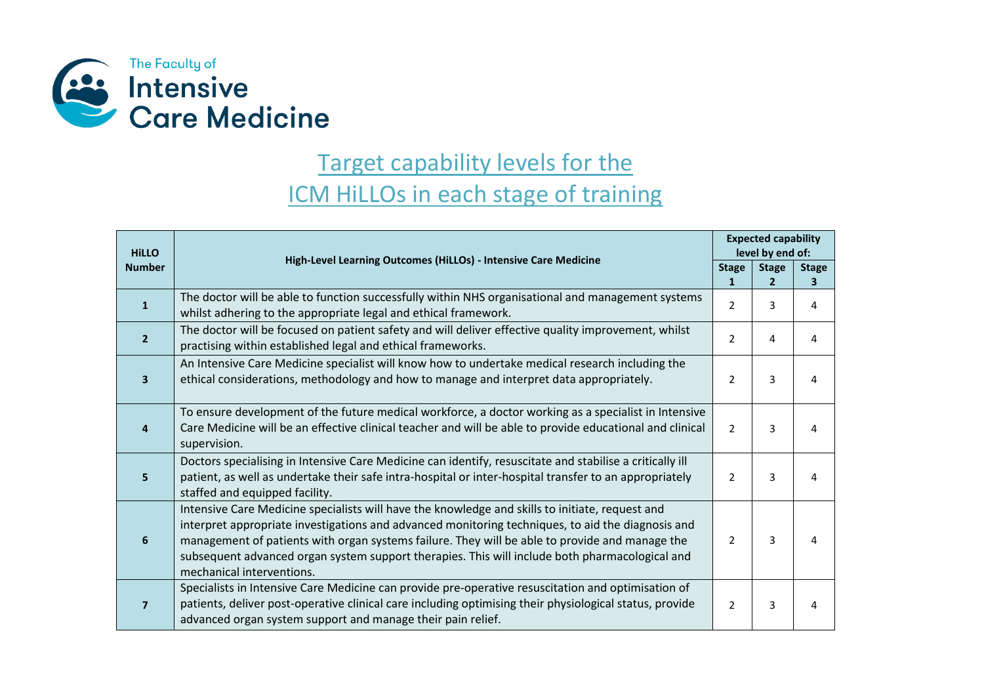

## Target capability levels for the

## ICM HiLLOs in each stage of training

| <b>HILLO</b><br><b>Number</b> | High-Level Learning Outcomes (HiLLOs) - Intensive Care Medicine                                                                                                                                                                                                                                                                                                                                                                       | <b>Expected capability</b><br>level by end of: |                   |                   |
|-------------------------------|---------------------------------------------------------------------------------------------------------------------------------------------------------------------------------------------------------------------------------------------------------------------------------------------------------------------------------------------------------------------------------------------------------------------------------------|------------------------------------------------|-------------------|-------------------|
|                               |                                                                                                                                                                                                                                                                                                                                                                                                                                       | <b>Stage</b><br>1                              | <b>Stage</b><br>2 | <b>Stage</b><br>з |
| $\mathbf{1}$                  | The doctor will be able to function successfully within NHS organisational and management systems<br>whilst adhering to the appropriate legal and ethical framework.                                                                                                                                                                                                                                                                  | $\overline{2}$                                 | 3                 | 4                 |
| $\overline{2}$                | The doctor will be focused on patient safety and will deliver effective quality improvement, whilst<br>practising within established legal and ethical frameworks.                                                                                                                                                                                                                                                                    | 2                                              | 4                 | 4                 |
| $\overline{\mathbf{3}}$       | An Intensive Care Medicine specialist will know how to undertake medical research including the<br>ethical considerations, methodology and how to manage and interpret data appropriately.                                                                                                                                                                                                                                            | $\overline{2}$                                 | 3                 | Δ                 |
| 4                             | To ensure development of the future medical workforce, a doctor working as a specialist in Intensive<br>Care Medicine will be an effective clinical teacher and will be able to provide educational and clinical<br>supervision.                                                                                                                                                                                                      | 2                                              | 3                 | Δ                 |
| 5                             | Doctors specialising in Intensive Care Medicine can identify, resuscitate and stabilise a critically ill<br>patient, as well as undertake their safe intra-hospital or inter-hospital transfer to an appropriately<br>staffed and equipped facility.                                                                                                                                                                                  | 2                                              | 3                 | 4                 |
| 6                             | Intensive Care Medicine specialists will have the knowledge and skills to initiate, request and<br>interpret appropriate investigations and advanced monitoring techniques, to aid the diagnosis and<br>management of patients with organ systems failure. They will be able to provide and manage the<br>subsequent advanced organ system support therapies. This will include both pharmacological and<br>mechanical interventions. | 2                                              | 3                 | Δ                 |
| 7                             | Specialists in Intensive Care Medicine can provide pre-operative resuscitation and optimisation of<br>patients, deliver post-operative clinical care including optimising their physiological status, provide<br>advanced organ system support and manage their pain relief.                                                                                                                                                          | 2                                              | 3                 | 4                 |